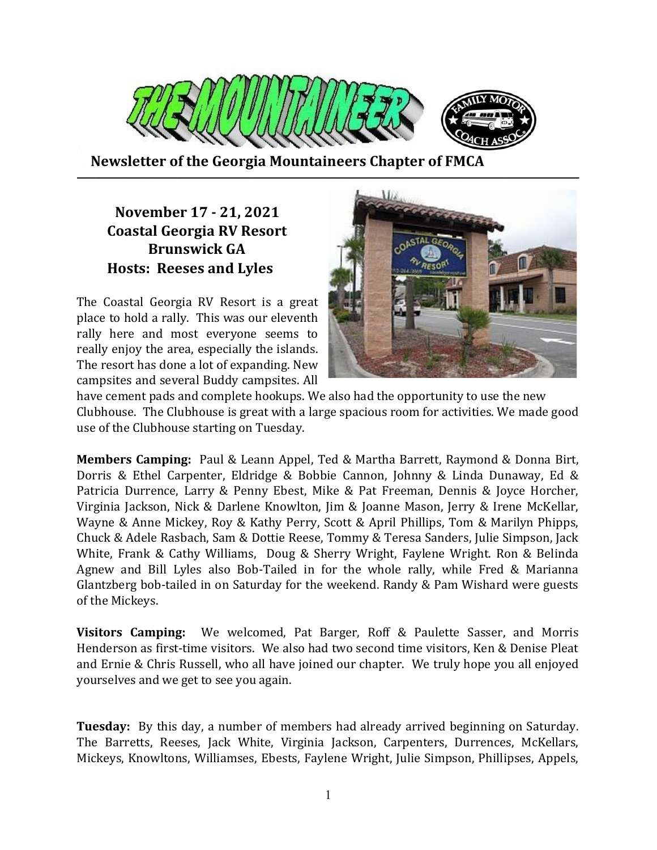

Newsletter of the Georgia Mountaineers Chapter of FMCA

## November 17 - 21, 2021 Coastal Georgia RV Resort Brunswick GA Hosts: Reeses and Lyles

The Coastal Georgia RV Resort is a great place to hold a rally. This was our eleventh rally here and most everyone seems to really enjoy the area, especially the islands. The resort has done a lot of expanding. New campsites and several Buddy campsites. All



have cement pads and complete hookups. We also had the opportunity to use the new Clubhouse. The Clubhouse is great with a large spacious room for activities. We made good use of the Clubhouse starting on Tuesday.

Members Camping: Paul & Leann Appel, Ted & Martha Barrett, Raymond & Donna Birt, Dorris & Ethel Carpenter, Eldridge & Bobbie Cannon, Johnny & Linda Dunaway, Ed & Patricia Durrence, Larry & Penny Ebest, Mike & Pat Freeman, Dennis & Joyce Horcher, Virginia Jackson, Nick & Darlene Knowlton, Jim & Joanne Mason, Jerry & Irene McKellar, Wayne & Anne Mickey, Roy & Kathy Perry, Scott & April Phillips, Tom & Marilyn Phipps, Chuck & Adele Rasbach, Sam & Dottie Reese, Tommy & Teresa Sanders, Julie Simpson, Jack White, Frank & Cathy Williams, Doug & Sherry Wright, Faylene Wright. Ron & Belinda Agnew and Bill Lyles also Bob-Tailed in for the whole rally, while Fred & Marianna Glantzberg bob-tailed in on Saturday for the weekend. Randy & Pam Wishard were guests of the Mickeys.

Visitors Camping: We welcomed, Pat Barger, Roff & Paulette Sasser, and Morris Henderson as first-time visitors. We also had two second time visitors, Ken & Denise Pleat and Ernie & Chris Russell, who all have joined our chapter. We truly hope you all enjoyed yourselves and we get to see you again.

Tuesday: By this day, a number of members had already arrived beginning on Saturday. The Barretts, Reeses, Jack White, Virginia Jackson, Carpenters, Durrences, McKellars, Mickeys, Knowltons, Williamses, Ebests, Faylene Wright, Julie Simpson, Phillipses, Appels,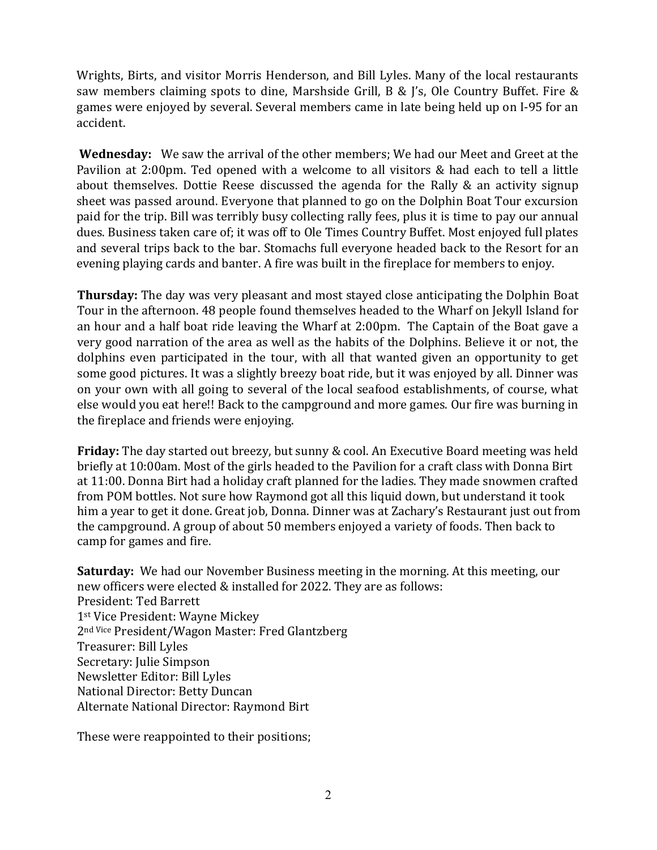Wrights, Birts, and visitor Morris Henderson, and Bill Lyles. Many of the local restaurants saw members claiming spots to dine, Marshside Grill, B & J's, Ole Country Buffet. Fire & games were enjoyed by several. Several members came in late being held up on I-95 for an accident.

Wednesday: We saw the arrival of the other members; We had our Meet and Greet at the Pavilion at 2:00pm. Ted opened with a welcome to all visitors & had each to tell a little about themselves. Dottie Reese discussed the agenda for the Rally & an activity signup sheet was passed around. Everyone that planned to go on the Dolphin Boat Tour excursion paid for the trip. Bill was terribly busy collecting rally fees, plus it is time to pay our annual dues. Business taken care of; it was off to Ole Times Country Buffet. Most enjoyed full plates and several trips back to the bar. Stomachs full everyone headed back to the Resort for an evening playing cards and banter. A fire was built in the fireplace for members to enjoy.

Thursday: The day was very pleasant and most stayed close anticipating the Dolphin Boat Tour in the afternoon. 48 people found themselves headed to the Wharf on Jekyll Island for an hour and a half boat ride leaving the Wharf at 2:00pm. The Captain of the Boat gave a very good narration of the area as well as the habits of the Dolphins. Believe it or not, the dolphins even participated in the tour, with all that wanted given an opportunity to get some good pictures. It was a slightly breezy boat ride, but it was enjoyed by all. Dinner was on your own with all going to several of the local seafood establishments, of course, what else would you eat here!! Back to the campground and more games. Our fire was burning in the fireplace and friends were enjoying.

Friday: The day started out breezy, but sunny & cool. An Executive Board meeting was held briefly at 10:00am. Most of the girls headed to the Pavilion for a craft class with Donna Birt at 11:00. Donna Birt had a holiday craft planned for the ladies. They made snowmen crafted from POM bottles. Not sure how Raymond got all this liquid down, but understand it took him a year to get it done. Great job, Donna. Dinner was at Zachary's Restaurant just out from the campground. A group of about 50 members enjoyed a variety of foods. Then back to camp for games and fire.

Saturday: We had our November Business meeting in the morning. At this meeting, our new officers were elected & installed for 2022. They are as follows: President: Ted Barrett 1st Vice President: Wayne Mickey 2nd Vice President/Wagon Master: Fred Glantzberg Treasurer: Bill Lyles Secretary: Julie Simpson Newsletter Editor: Bill Lyles National Director: Betty Duncan Alternate National Director: Raymond Birt

These were reappointed to their positions;